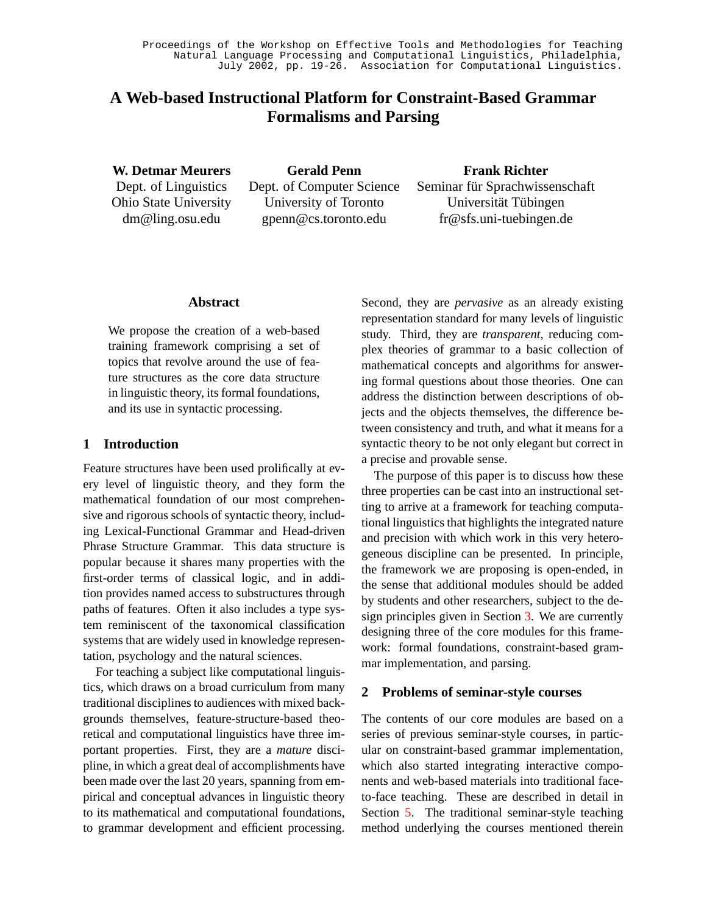# **A Web-based Instructional Platform for Constraint-Based Grammar Formalisms and Parsing**

**W. Detmar Meurers** Dept. of Linguistics Ohio State University dm@ling.osu.edu

**Gerald Penn** Dept. of Computer Science University of Toronto gpenn@cs.toronto.edu

**Frank Richter** Seminar für Sprachwissenschaft Universität Tübingen fr@sfs.uni-tuebingen.de

## **Abstract**

We propose the creation of a web-based training framework comprising a set of topics that revolve around the use of feature structures as the core data structure in linguistic theory, its formal foundations, and its use in syntactic processing.

## **1 Introduction**

Feature structures have been used prolifically at every level of linguistic theory, and they form the mathematical foundation of our most comprehensive and rigorous schools of syntactic theory, including Lexical-Functional Grammar and Head-driven Phrase Structure Grammar. This data structure is popular because it shares many properties with the first-order terms of classical logic, and in addition provides named access to substructures through paths of features. Often it also includes a type system reminiscent of the taxonomical classification systems that are widely used in knowledge representation, psychology and the natural sciences.

For teaching a subject like computational linguistics, which draws on a broad curriculum from many traditional disciplines to audiences with mixed backgrounds themselves, feature-structure-based theoretical and computational linguistics have three important properties. First, they are a *mature* discipline, in which a great deal of accomplishments have been made over the last 20 years, spanning from empirical and conceptual advances in linguistic theory to its mathematical and computational foundations, to grammar development and efficient processing.

Second, they are *pervasive* as an already existing representation standard for many levels of linguistic study. Third, they are *transparent*, reducing complex theories of grammar to a basic collection of mathematical concepts and algorithms for answering formal questions about those theories. One can address the distinction between descriptions of objects and the objects themselves, the difference between consistency and truth, and what it means for a syntactic theory to be not only elegant but correct in a precise and provable sense.

The purpose of this paper is to discuss how these three properties can be cast into an instructional setting to arrive at a framework for teaching computational linguistics that highlights the integrated nature and precision with which work in this very heterogeneous discipline can be presented. In principle, the framework we are proposing is open-ended, in the sense that additional modules should be added by students and other researchers, subject to the design principles given in Section [3.](#page-1-0) We are currently designing three of the core modules for this framework: formal foundations, constraint-based grammar implementation, and parsing.

# **2 Problems of seminar-style courses**

The contents of our core modules are based on a series of previous seminar-style courses, in particular on constraint-based grammar implementation, which also started integrating interactive components and web-based materials into traditional faceto-face teaching. These are described in detail in Section [5](#page-5-0). The traditional seminar-style teaching method underlying the courses mentioned therein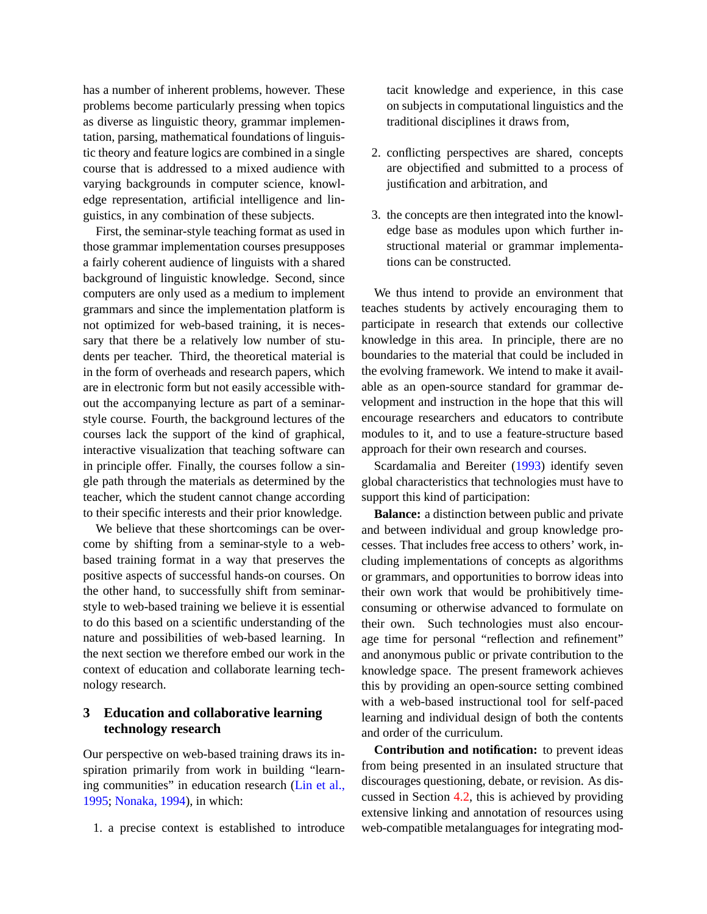has a number of inherent problems, however. These problems become particularly pressing when topics as diverse as linguistic theory, grammar implementation, parsing, mathematical foundations of linguistic theory and feature logics are combined in a single course that is addressed to a mixed audience with varying backgrounds in computer science, knowledge representation, artificial intelligence and linguistics, in any combination of these subjects.

First, the seminar-style teaching format as used in those grammar implementation courses presupposes a fairly coherent audience of linguists with a shared background of linguistic knowledge. Second, since computers are only used as a medium to implement grammars and since the implementation platform is not optimized for web-based training, it is necessary that there be a relatively low number of students per teacher. Third, the theoretical material is in the form of overheads and research papers, which are in electronic form but not easily accessible without the accompanying lecture as part of a seminarstyle course. Fourth, the background lectures of the courses lack the support of the kind of graphical, interactive visualization that teaching software can in principle offer. Finally, the courses follow a single path through the materials as determined by the teacher, which the student cannot change according to their specific interests and their prior knowledge.

We believe that these shortcomings can be overcome by shifting from a seminar-style to a webbased training format in a way that preserves the positive aspects of successful hands-on courses. On the other hand, to successfully shift from seminarstyle to web-based training we believe it is essential to do this based on a scientific understanding of the nature and possibilities of web-based learning. In the next section we therefore embed our work in the context of education and collaborate learning technology research.

# <span id="page-1-0"></span>**3 Education and collaborative learning technology research**

Our perspective on web-based training draws its inspiration primarily from work in building "learning communities" in education research [\(Lin et al.,](#page-7-0) [1995;](#page-7-0) [Nonaka, 1994\)](#page-7-1), in which:

1. a precise context is established to introduce

tacit knowledge and experience, in this case on subjects in computational linguistics and the traditional disciplines it draws from,

- 2. conflicting perspectives are shared, concepts are objectified and submitted to a process of justification and arbitration, and
- 3. the concepts are then integrated into the knowledge base as modules upon which further instructional material or grammar implementations can be constructed.

We thus intend to provide an environment that teaches students by actively encouraging them to participate in research that extends our collective knowledge in this area. In principle, there are no boundaries to the material that could be included in the evolving framework. We intend to make it available as an open-source standard for grammar development and instruction in the hope that this will encourage researchers and educators to contribute modules to it, and to use a feature-structure based approach for their own research and courses.

Scardamalia and Bereiter ([1993\)](#page-7-2) identify seven global characteristics that technologies must have to support this kind of participation:

**Balance:** a distinction between public and private and between individual and group knowledge processes. That includes free access to others' work, including implementations of concepts as algorithms or grammars, and opportunities to borrow ideas into their own work that would be prohibitively timeconsuming or otherwise advanced to formulate on their own. Such technologies must also encourage time for personal "reflection and refinement" and anonymous public or private contribution to the knowledge space. The present framework achieves this by providing an open-source setting combined with a web-based instructional tool for self-paced learning and individual design of both the contents and order of the curriculum.

**Contribution and notification:** to prevent ideas from being presented in an insulated structure that discourages questioning, debate, or revision. As discussed in Section [4.2,](#page-3-0) this is achieved by providing extensive linking and annotation of resources using web-compatible metalanguages for integrating mod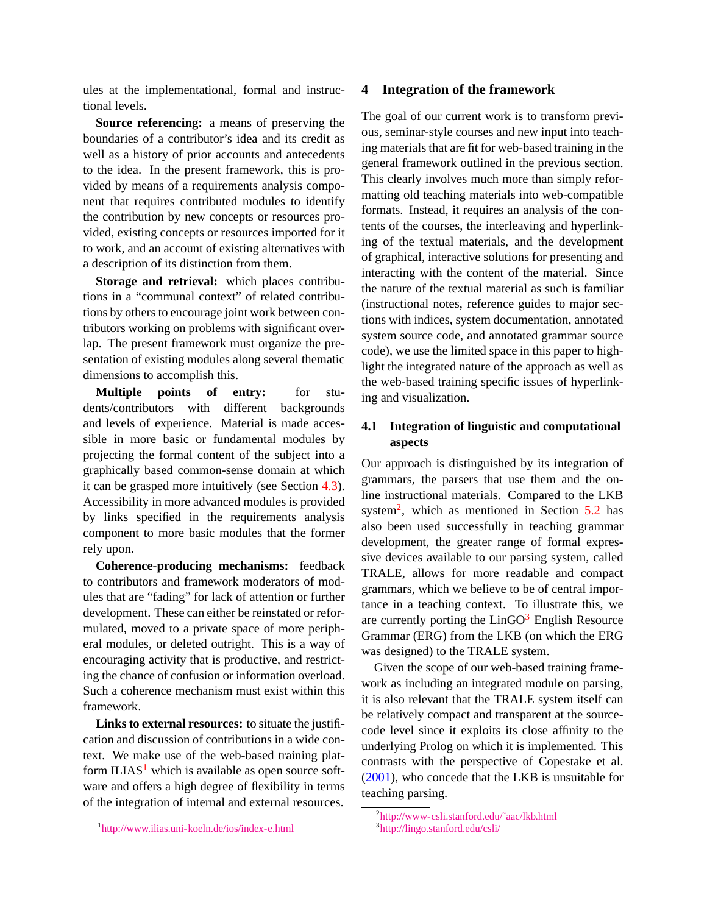ules at the implementational, formal and instructional levels.

**Source referencing:** a means of preserving the boundaries of a contributor's idea and its credit as well as a history of prior accounts and antecedents to the idea. In the present framework, this is provided by means of a requirements analysis component that requires contributed modules to identify the contribution by new concepts or resources provided, existing concepts or resources imported for it to work, and an account of existing alternatives with a description of its distinction from them.

**Storage and retrieval:** which places contributions in a "communal context" of related contributions by others to encourage joint work between contributors working on problems with significant overlap. The present framework must organize the presentation of existing modules along several thematic dimensions to accomplish this.

**Multiple points of entry:** for students/contributors with different backgrounds and levels of experience. Material is made accessible in more basic or fundamental modules by projecting the formal content of the subject into a graphically based common-sense domain at which it can be grasped more intuitively (see Section [4.3](#page-3-1)). Accessibility in more advanced modules is provided by links specified in the requirements analysis component to more basic modules that the former rely upon.

**Coherence-producing mechanisms:** feedback to contributors and framework moderators of modules that are "fading" for lack of attention or further development. These can either be reinstated or reformulated, moved to a private space of more peripheral modules, or deleted outright. This is a way of encouraging activity that is productive, and restricting the chance of confusion or information overload. Such a coherence mechanism must exist within this framework.

**Links to external resources:** to situate the justification and discussion of contributions in a wide context. We make use of the web-based training platform  $ILIAS<sup>1</sup>$  $ILIAS<sup>1</sup>$  $ILIAS<sup>1</sup>$  which is available as open source software and offers a high degree of flexibility in terms of the integration of internal and external resources.

#### **4 Integration of the framework**

The goal of our current work is to transform previous, seminar-style courses and new input into teaching materials that are fit for web-based training in the general framework outlined in the previous section. This clearly involves much more than simply reformatting old teaching materials into web-compatible formats. Instead, it requires an analysis of the contents of the courses, the interleaving and hyperlinking of the textual materials, and the development of graphical, interactive solutions for presenting and interacting with the content of the material. Since the nature of the textual material as such is familiar (instructional notes, reference guides to major sections with indices, system documentation, annotated system source code, and annotated grammar source code), we use the limited space in this paper to highlight the integrated nature of the approach as well as the web-based training specific issues of hyperlinking and visualization.

# **4.1 Integration of linguistic and computational aspects**

Our approach is distinguished by its integration of grammars, the parsers that use them and the online instructional materials. Compared to the LKB system<sup>[2](#page-2-1)</sup>, which as mentioned in Section [5.2](#page-6-0) has also been used successfully in teaching grammar development, the greater range of formal expressive devices available to our parsing system, called TRALE, allows for more readable and compact grammars, which we believe to be of central importance in a teaching context. To illustrate this, we are currently porting the  $LinGO<sup>3</sup>$  $LinGO<sup>3</sup>$  $LinGO<sup>3</sup>$  English Resource Grammar (ERG) from the LKB (on which the ERG was designed) to the TRALE system.

Given the scope of our web-based training framework as including an integrated module on parsing, it is also relevant that the TRALE system itself can be relatively compact and transparent at the sourcecode level since it exploits its close affinity to the underlying Prolog on which it is implemented. This contrasts with the perspective of Copestake et al. ([2001\)](#page-7-3), who concede that the LKB is unsuitable for teaching parsing.

<span id="page-2-0"></span><sup>1</sup> <http://www.ilias.uni-koeln.de/ios/index-e.html>

<span id="page-2-1"></span><sup>2</sup> [http://www-csli.stanford.edu/˜aac/lkb.html](http://www-csli.stanford.edu/~aac/lkb.html)

<span id="page-2-2"></span><sup>3</sup> <http://lingo.stanford.edu/csli/>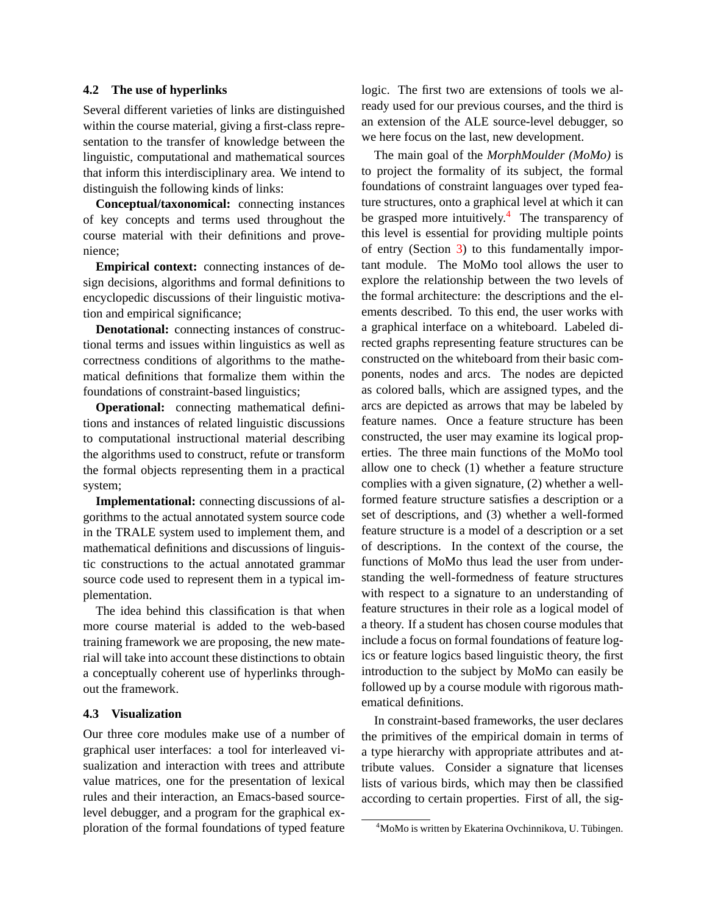#### <span id="page-3-0"></span>**4.2 The use of hyperlinks**

Several different varieties of links are distinguished within the course material, giving a first-class representation to the transfer of knowledge between the linguistic, computational and mathematical sources that inform this interdisciplinary area. We intend to distinguish the following kinds of links:

**Conceptual/taxonomical:** connecting instances of key concepts and terms used throughout the course material with their definitions and provenience;

**Empirical context:** connecting instances of design decisions, algorithms and formal definitions to encyclopedic discussions of their linguistic motivation and empirical significance;

**Denotational:** connecting instances of constructional terms and issues within linguistics as well as correctness conditions of algorithms to the mathematical definitions that formalize them within the foundations of constraint-based linguistics;

**Operational:** connecting mathematical definitions and instances of related linguistic discussions to computational instructional material describing the algorithms used to construct, refute or transform the formal objects representing them in a practical system;

**Implementational:** connecting discussions of algorithms to the actual annotated system source code in the TRALE system used to implement them, and mathematical definitions and discussions of linguistic constructions to the actual annotated grammar source code used to represent them in a typical implementation.

The idea behind this classification is that when more course material is added to the web-based training framework we are proposing, the new material will take into account these distinctions to obtain a conceptually coherent use of hyperlinks throughout the framework.

### <span id="page-3-1"></span>**4.3 Visualization**

Our three core modules make use of a number of graphical user interfaces: a tool for interleaved visualization and interaction with trees and attribute value matrices, one for the presentation of lexical rules and their interaction, an Emacs-based sourcelevel debugger, and a program for the graphical exploration of the formal foundations of typed feature

logic. The first two are extensions of tools we already used for our previous courses, and the third is an extension of the ALE source-level debugger, so we here focus on the last, new development.

The main goal of the *MorphMoulder (MoMo)* is to project the formality of its subject, the formal foundations of constraint languages over typed feature structures, onto a graphical level at which it can be grasped more intuitively.<sup>[4](#page-3-2)</sup> The transparency of this level is essential for providing multiple points of entry (Section [3\)](#page-1-0) to this fundamentally important module. The MoMo tool allows the user to explore the relationship between the two levels of the formal architecture: the descriptions and the elements described. To this end, the user works with a graphical interface on a whiteboard. Labeled directed graphs representing feature structures can be constructed on the whiteboard from their basic components, nodes and arcs. The nodes are depicted as colored balls, which are assigned types, and the arcs are depicted as arrows that may be labeled by feature names. Once a feature structure has been constructed, the user may examine its logical properties. The three main functions of the MoMo tool allow one to check (1) whether a feature structure complies with a given signature, (2) whether a wellformed feature structure satisfies a description or a set of descriptions, and (3) whether a well-formed feature structure is a model of a description or a set of descriptions. In the context of the course, the functions of MoMo thus lead the user from understanding the well-formedness of feature structures with respect to a signature to an understanding of feature structures in their role as a logical model of a theory. If a student has chosen course modules that include a focus on formal foundations of feature logics or feature logics based linguistic theory, the first introduction to the subject by MoMo can easily be followed up by a course module with rigorous mathematical definitions.

In constraint-based frameworks, the user declares the primitives of the empirical domain in terms of a type hierarchy with appropriate attributes and attribute values. Consider a signature that licenses lists of various birds, which may then be classified according to certain properties. First of all, the sig-

<span id="page-3-2"></span><sup>&</sup>lt;sup>4</sup>MoMo is written by Ekaterina Ovchinnikova, U. Tübingen.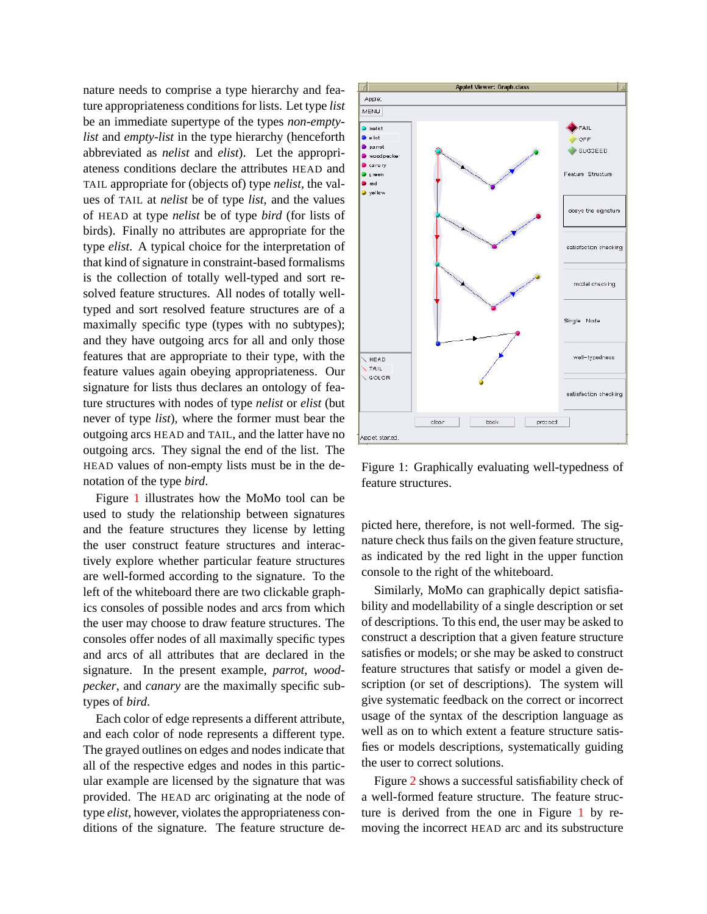nature needs to comprise a type hierarchy and feature appropriateness conditions for lists. Let type *list* be an immediate supertype of the types *non-emptylist* and *empty-list* in the type hierarchy (henceforth abbreviated as *nelist* and *elist*). Let the appropriateness conditions declare the attributes HEAD and TAIL appropriate for (objects of) type *nelist*, the values of TAIL at *nelist* be of type *list*, and the values of HEAD at type *nelist* be of type *bird* (for lists of birds). Finally no attributes are appropriate for the type *elist*. A typical choice for the interpretation of that kind of signature in constraint-based formalisms is the collection of totally well-typed and sort resolved feature structures. All nodes of totally welltyped and sort resolved feature structures are of a maximally specific type (types with no subtypes); and they have outgoing arcs for all and only those features that are appropriate to their type, with the feature values again obeying appropriateness. Our signature for lists thus declares an ontology of feature structures with nodes of type *nelist* or *elist* (but never of type *list*), where the former must bear the outgoing arcs HEAD and TAIL, and the latter have no outgoing arcs. They signal the end of the list. The HEAD values of non-empty lists must be in the denotation of the type *bird*.

Figure [1](#page-4-0) illustrates how the MoMo tool can be used to study the relationship between signatures and the feature structures they license by letting the user construct feature structures and interactively explore whether particular feature structures are well-formed according to the signature. To the left of the whiteboard there are two clickable graphics consoles of possible nodes and arcs from which the user may choose to draw feature structures. The consoles offer nodes of all maximally specific types and arcs of all attributes that are declared in the signature. In the present example, *parrot*, *woodpecker*, and *canary* are the maximally specific subtypes of *bird*.

Each color of edge represents a different attribute, and each color of node represents a different type. The grayed outlines on edges and nodes indicate that all of the respective edges and nodes in this particular example are licensed by the signature that was provided. The HEAD arc originating at the node of type *elist*, however, violates the appropriateness conditions of the signature. The feature structure de-



<span id="page-4-0"></span>Figure 1: Graphically evaluating well-typedness of feature structures.

picted here, therefore, is not well-formed. The signature check thus fails on the given feature structure, as indicated by the red light in the upper function console to the right of the whiteboard.

Similarly, MoMo can graphically depict satisfiability and modellability of a single description or set of descriptions. To this end, the user may be asked to construct a description that a given feature structure satisfies or models; or she may be asked to construct feature structures that satisfy or model a given description (or set of descriptions). The system will give systematic feedback on the correct or incorrect usage of the syntax of the description language as well as on to which extent a feature structure satisfies or models descriptions, systematically guiding the user to correct solutions.

Figure [2](#page-5-1) shows a successful satisfiability check of a well-formed feature structure. The feature structure is derived from the one in Figure [1](#page-4-0) by removing the incorrect HEAD arc and its substructure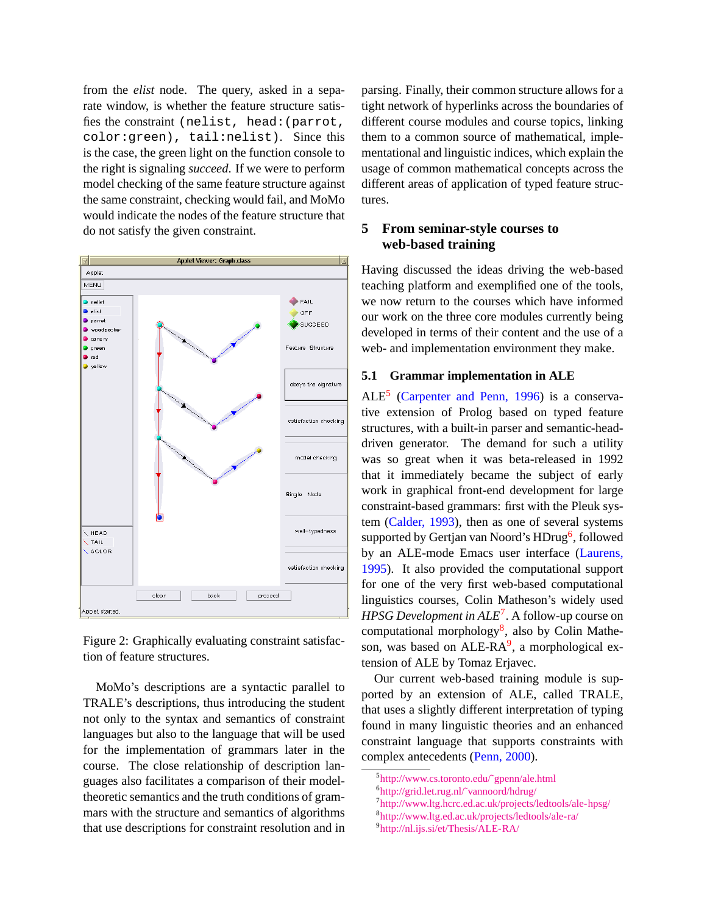from the *elist* node. The query, asked in a separate window, is whether the feature structure satisfies the constraint (nelist, head:(parrot, color:green), tail:nelist). Since this is the case, the green light on the function console to the right is signaling *succeed*. If we were to perform model checking of the same feature structure against the same constraint, checking would fail, and MoMo would indicate the nodes of the feature structure that do not satisfy the given constraint.



<span id="page-5-1"></span>Figure 2: Graphically evaluating constraint satisfaction of feature structures.

MoMo's descriptions are a syntactic parallel to TRALE's descriptions, thus introducing the student not only to the syntax and semantics of constraint languages but also to the language that will be used for the implementation of grammars later in the course. The close relationship of description languages also facilitates a comparison of their modeltheoretic semantics and the truth conditions of grammars with the structure and semantics of algorithms that use descriptions for constraint resolution and in

parsing. Finally, their common structure allows for a tight network of hyperlinks across the boundaries of different course modules and course topics, linking them to a common source of mathematical, implementational and linguistic indices, which explain the usage of common mathematical concepts across the different areas of application of typed feature structures.

# <span id="page-5-0"></span>**5 From seminar-style courses to web-based training**

Having discussed the ideas driving the web-based teaching platform and exemplified one of the tools, we now return to the courses which have informed our work on the three core modules currently being developed in terms of their content and the use of a web- and implementation environment they make.

#### **5.1 Grammar implementation in ALE**

 $ALE<sup>5</sup>$  $ALE<sup>5</sup>$  $ALE<sup>5</sup>$  [\(Carpenter and Penn, 1996\)](#page-7-4) is a conservative extension of Prolog based on typed feature structures, with a built-in parser and semantic-headdriven generator. The demand for such a utility was so great when it was beta-released in 1992 that it immediately became the subject of early work in graphical front-end development for large constraint-based grammars: first with the Pleuk system ([Calder, 1993\)](#page-7-5), then as one of several systems supported by Gertjan van Noord's HDrug<sup>[6](#page-5-3)</sup>, followed by an ALE-mode Emacs user interface [\(Laurens,](#page-7-6) [1995](#page-7-6)). It also provided the computational support for one of the very first web-based computational linguistics courses, Colin Matheson's widely used *HPSG Development in ALE*[7](#page-5-4) . A follow-up course on computational morphology<sup>[8](#page-5-5)</sup>, also by Colin Mathe-son, was based on ALE-RA<sup>[9](#page-5-6)</sup>, a morphological extension of ALE by Tomaz Erjavec.

Our current web-based training module is supported by an extension of ALE, called TRALE, that uses a slightly different interpretation of typing found in many linguistic theories and an enhanced constraint language that supports constraints with complex antecedents ([Penn, 2000\)](#page-7-7).

<span id="page-5-6"></span>9 <http://nl.ijs.si/et/Thesis/ALE-RA/>

<span id="page-5-2"></span><sup>5</sup> [http://www.cs.toronto.edu/˜gpenn/ale.html](http://www.cs.toronto.edu/~gpenn/ale.html)

<span id="page-5-3"></span><sup>6</sup> [http://grid.let.rug.nl/˜vannoord/hdrug/](http://grid.let.rug.nl/~vannoord/hdrug/)

<span id="page-5-4"></span><sup>7</sup> <http://www.ltg.hcrc.ed.ac.uk/projects/ledtools/ale-hpsg/>

<span id="page-5-5"></span><sup>8</sup> <http://www.ltg.ed.ac.uk/projects/ledtools/ale-ra/>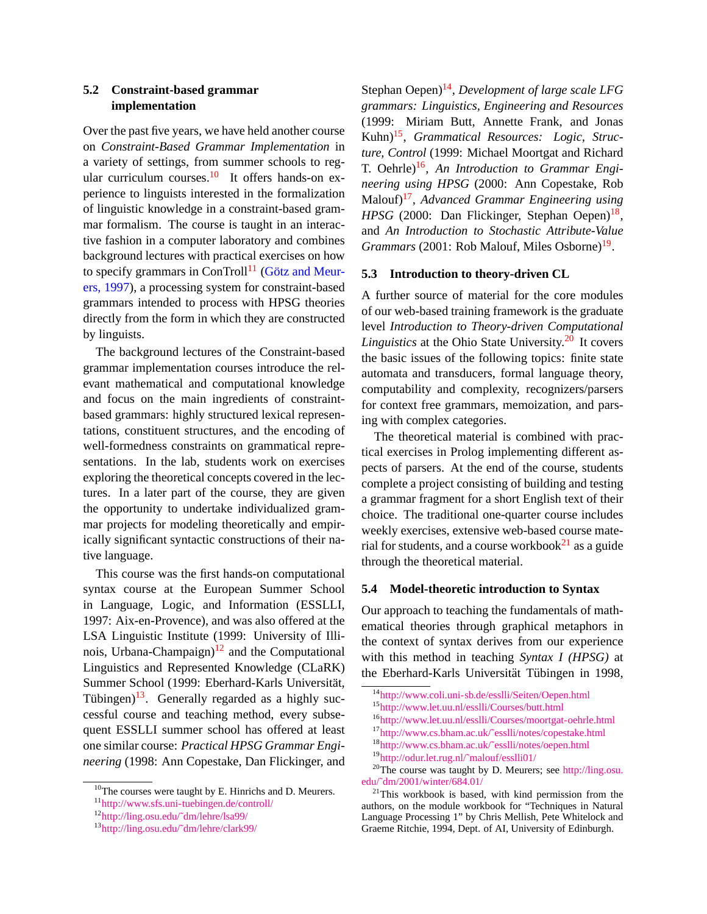## <span id="page-6-0"></span>**5.2 Constraint-based grammar implementation**

Over the past five years, we have held another course on *Constraint-Based Grammar Implementation* in a variety of settings, from summer schools to reg-ular curriculum courses.<sup>[10](#page-6-1)</sup> It offers hands-on experience to linguists interested in the formalization of linguistic knowledge in a constraint-based grammar formalism. The course is taught in an interactive fashion in a computer laboratory and combines background lectures with practical exercises on how to specify grammars in ConTroll<sup>[11](#page-6-2)</sup> (Götz and Meur[ers, 1997](#page-7-8)), a processing system for constraint-based grammars intended to process with HPSG theories directly from the form in which they are constructed by linguists.

The background lectures of the Constraint-based grammar implementation courses introduce the relevant mathematical and computational knowledge and focus on the main ingredients of constraintbased grammars: highly structured lexical representations, constituent structures, and the encoding of well-formedness constraints on grammatical representations. In the lab, students work on exercises exploring the theoretical concepts covered in the lectures. In a later part of the course, they are given the opportunity to undertake individualized grammar projects for modeling theoretically and empirically significant syntactic constructions of their native language.

This course was the first hands-on computational syntax course at the European Summer School in Language, Logic, and Information (ESSLLI, 1997: Aix-en-Provence), and was also offered at the LSA Linguistic Institute (1999: University of Illinois, Urbana-Champaign) $12$  and the Computational Linguistics and Represented Knowledge (CLaRK) Summer School (1999: Eberhard-Karls Universität, Tübingen)<sup>[13](#page-6-4)</sup>. Generally regarded as a highly successful course and teaching method, every subsequent ESSLLI summer school has offered at least one similar course: *Practical HPSG Grammar Engineering* (1998: Ann Copestake, Dan Flickinger, and

Stephan Oepen)<sup>[14](#page-6-5)</sup>, *Development of large scale LFG grammars: Linguistics, Engineering and Resources* (1999: Miriam Butt, Annette Frank, and Jonas Kuhn)[15](#page-6-6) , *Grammatical Resources: Logic, Structure, Control* (1999: Michael Moortgat and Richard T. Oehrle)<sup>[16](#page-6-7)</sup>, An Introduction to Grammar Engi*neering using HPSG* (2000: Ann Copestake, Rob Malouf)[17](#page-6-8) , *Advanced Grammar Engineering using* HPSG (2000: Dan Flickinger, Stephan Oepen)<sup>[18](#page-6-9)</sup>, and *An Introduction to Stochastic Attribute-Value* Grammars (2001: Rob Malouf, Miles Osborne)<sup>[19](#page-6-10)</sup>.

#### **5.3 Introduction to theory-driven CL**

A further source of material for the core modules of our web-based training framework is the graduate level *Introduction to Theory-driven Computational Linguistics* at the Ohio State University.<sup>[20](#page-6-11)</sup> It covers the basic issues of the following topics: finite state automata and transducers, formal language theory, computability and complexity, recognizers/parsers for context free grammars, memoization, and parsing with complex categories.

The theoretical material is combined with practical exercises in Prolog implementing different aspects of parsers. At the end of the course, students complete a project consisting of building and testing a grammar fragment for a short English text of their choice. The traditional one-quarter course includes weekly exercises, extensive web-based course material for students, and a course workbook $^{21}$  $^{21}$  $^{21}$  as a guide through the theoretical material.

#### **5.4 Model-theoretic introduction to Syntax**

Our approach to teaching the fundamentals of mathematical theories through graphical metaphors in the context of syntax derives from our experience with this method in teaching *Syntax I (HPSG)* at the Eberhard-Karls Universität Tübingen in 1998,

<span id="page-6-6"></span><sup>15</sup><http://www.let.uu.nl/esslli/Courses/butt.html>

<span id="page-6-1"></span><sup>&</sup>lt;sup>10</sup>The courses were taught by E. Hinrichs and D. Meurers.

<span id="page-6-2"></span><sup>11</sup><http://www.sfs.uni-tuebingen.de/controll/>

<span id="page-6-3"></span><sup>12</sup>[http://ling.osu.edu/˜dm/lehre/lsa99/](http://ling.osu.edu/~dm/lehre/lsa99/)

<span id="page-6-4"></span><sup>13</sup>[http://ling.osu.edu/˜dm/lehre/clark99/](http://ling.osu.edu/~dm/lehre/clark99/)

<span id="page-6-5"></span><sup>14</sup><http://www.coli.uni-sb.de/esslli/Seiten/Oepen.html>

<span id="page-6-7"></span><sup>16</sup><http://www.let.uu.nl/esslli/Courses/moortgat-oehrle.html>

<span id="page-6-8"></span><sup>17</sup>[http://www.cs.bham.ac.uk/˜esslli/notes/copestake.html](http://www.cs.bham.ac.uk/~esslli/notes/copestake.html)

<span id="page-6-9"></span><sup>18</sup>[http://www.cs.bham.ac.uk/˜esslli/notes/oepen.html](http://www.cs.bham.ac.uk/~esslli/notes/oepen.html)

<span id="page-6-11"></span><span id="page-6-10"></span><sup>19</sup>[http://odur.let.rug.nl/˜malouf/esslli01/](http://odur.let.rug.nl/~malouf/esslli01/)

<sup>&</sup>lt;sup>20</sup>The course was taught by D. Meurers; see [http://ling.osu.](http://ling.osu.edu/~dm/2001/winter/684.01/) [edu/˜dm/2001/winter/684.01/](http://ling.osu.edu/~dm/2001/winter/684.01/)

<span id="page-6-12"></span><sup>&</sup>lt;sup>21</sup>This workbook is based, with kind permission from the authors, on the module workbook for "Techniques in Natural Language Processing 1" by Chris Mellish, Pete Whitelock and Graeme Ritchie, 1994, Dept. of AI, University of Edinburgh.